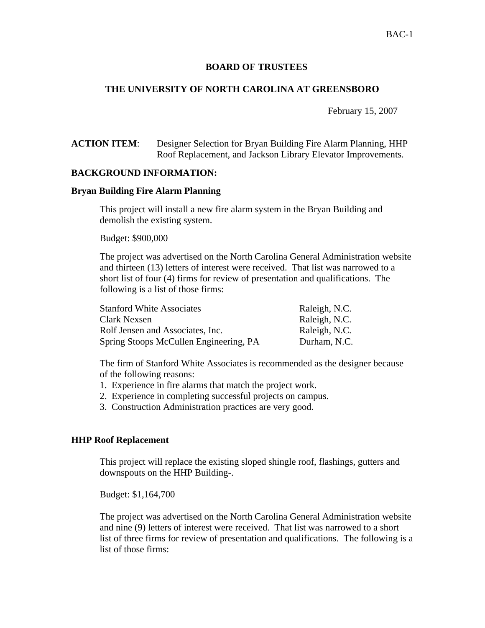# BAC-1

## **BOARD OF TRUSTEES**

## **THE UNIVERSITY OF NORTH CAROLINA AT GREENSBORO**

February 15, 2007

**ACTION ITEM**: Designer Selection for Bryan Building Fire Alarm Planning, HHP Roof Replacement, and Jackson Library Elevator Improvements.

### **BACKGROUND INFORMATION:**

#### **Bryan Building Fire Alarm Planning**

 This project will install a new fire alarm system in the Bryan Building and demolish the existing system.

Budget: \$900,000

The project was advertised on the North Carolina General Administration website and thirteen (13) letters of interest were received. That list was narrowed to a short list of four (4) firms for review of presentation and qualifications. The following is a list of those firms:

| <b>Stanford White Associates</b>       | Raleigh, N.C. |
|----------------------------------------|---------------|
| Clark Nexsen                           | Raleigh, N.C. |
| Rolf Jensen and Associates, Inc.       | Raleigh, N.C. |
| Spring Stoops McCullen Engineering, PA | Durham, N.C.  |

 The firm of Stanford White Associates is recommended as the designer because of the following reasons:

- 1. Experience in fire alarms that match the project work.
- 2. Experience in completing successful projects on campus.
- 3. Construction Administration practices are very good.

### **HHP Roof Replacement**

 This project will replace the existing sloped shingle roof, flashings, gutters and downspouts on the HHP Building-.

Budget: \$1,164,700

The project was advertised on the North Carolina General Administration website and nine (9) letters of interest were received. That list was narrowed to a short list of three firms for review of presentation and qualifications. The following is a list of those firms: